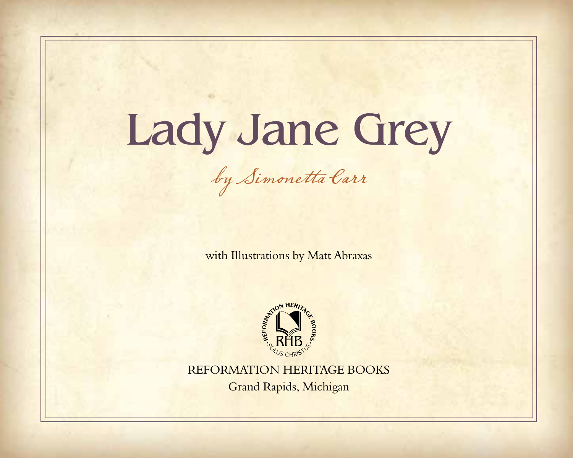## Lady Jane Grey

by Simonetta Carr

with Illustrations by Matt Abraxas



REFORMATION HERITAGE BOOKS Grand Rapids, Michigan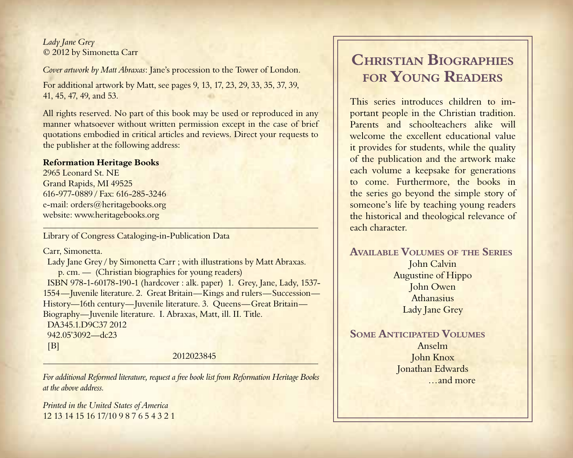*Lady Jane Grey* © 2012 by Simonetta Carr

*Cover artwork by Matt Abraxas*: Jane's procession to the Tower of London.

For additional artwork by Matt, see pages 9, 13, 17, 23, 29, 33, 35, 37, 39, 41, 45, 47, 49, and 53.

All rights reserved. No part of this book may be used or reproduced in any manner whatsoever without written permission except in the case of brief quotations embodied in critical articles and reviews. Direct your requests to the publisher at the following address:

## **Reformation Heritage Books**

2965 Leonard St. NE Grand Rapids, MI 49525 616-977-0889 / Fax: 616-285-3246 e-mail: orders@heritagebooks.org website: www.heritagebooks.org

Library of Congress Cataloging-in-Publication Data

Carr, Simonetta.

 Lady Jane Grey / by Simonetta Carr ; with illustrations by Matt Abraxas. p. cm. — (Christian biographies for young readers) ISBN 978-1-60178-190-1 (hardcover : alk. paper) 1. Grey, Jane, Lady, 1537- 1554—Juvenile literature. 2. Great Britain—Kings and rulers—Succession— History—16th century—Juvenile literature. 3. Queens—Great Britain— Biography—Juvenile literature. I. Abraxas, Matt, ill. II. Title. DA345.1.D9C37 2012 942.05'3092—dc23  $[B]$ 

2012023845

*For additional Reformed literature, request a free book list from Reformation Heritage Books at the above address.*

*Printed in the United States of America* 12 13 14 15 16 17/10 9 8 7 6 5 4 3 2 1

## **Christian Biographies for Young Readers**

This series introduces children to important people in the Christian tradition. Parents and schoolteachers alike will welcome the excellent educational value it provides for students, while the quality of the publication and the artwork make each volume a keepsake for generations to come. Furthermore, the books in the series go beyond the simple story of someone's life by teaching young readers the historical and theological relevance of each character.

**Available Volumes of the Series** John Calvin Augustine of Hippo John Owen Athanasius Lady Jane Grey

**Some Anticipated Volumes** Anselm John Knox Jonathan Edwards …and more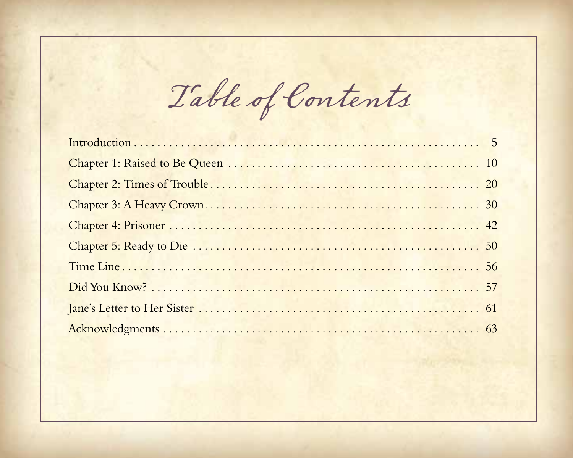Table of Contents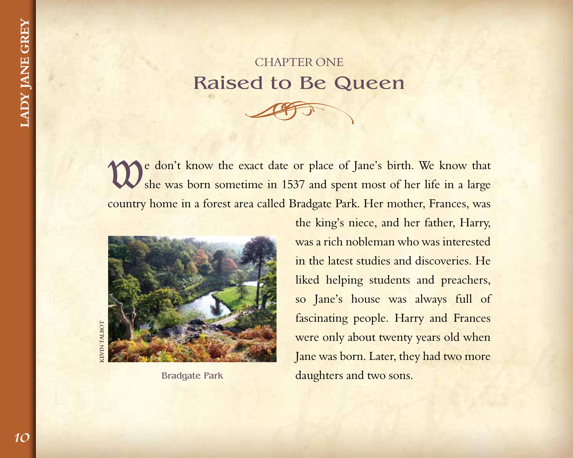## **CHAPTER ONE** Raised to Be Queen





Bradgate Park

Jane was born. Later, they had two more daughters and two sons. the king's niece, and her father, Harry, was a rich nobleman who was interested in the latest studies and discoveries. He liked helping students and preachers, so Jane's house was always full of fascinating people. Harry and Frances were only about twenty years old when Jane was born. Later, they had two more daughters and two sons.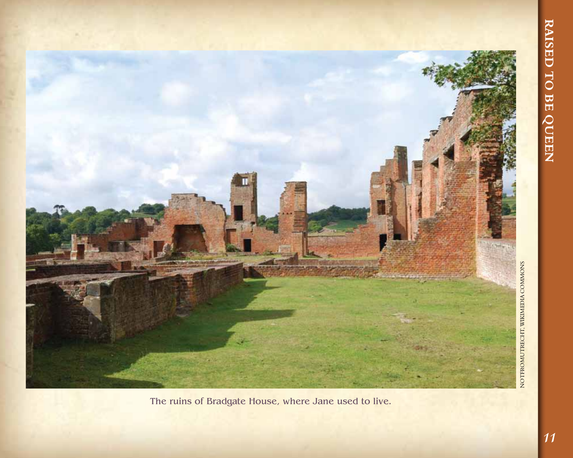

The ruins of Bradgate House, where Jane used to live.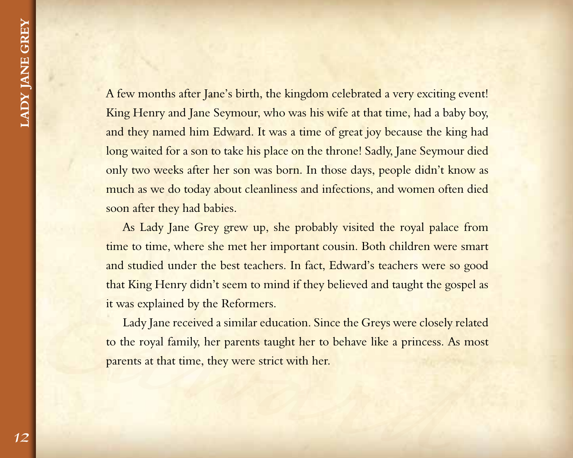A few months after Jane's birth, the kingdom celebrated a very exciting event! King Henry and Jane Seymour, who was his wife at that time, had a baby boy, and they named him Edward. It was a time of great joy because the king had long waited for a son to take his place on the throne! Sadly, Jane Seymour died only two weeks after her son was born. In those days, people didn't know as much as we do today about cleanliness and infections, and women often died soon after they had babies.

As Lady Jane Grey grew up, she probably visited the royal palace from time to time, where she met her important cousin. Both children were smart and studied under the best teachers. In fact, Edward's teachers were so good that King Henry didn't seem to mind if they believed and taught the gospel as it was explained by the Reformers.

that King Henry didn't seem to mind if they believed and taught the gospel as<br>it was explained by the Reformers.<br>Lady Jane received a similar education. Since the Greys were closely related<br>to the royal family, her parents Lady Jane received a similar education. Since the Greys were closely related to the royal family, her parents taught her to behave like a princess. As most parents at that time, they were strict with her.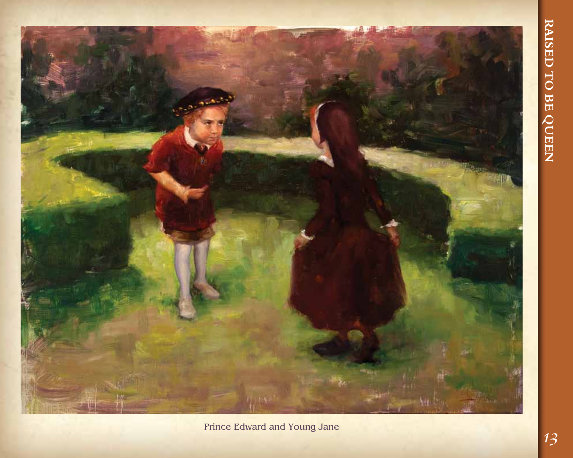

Prince Edward and Young Jane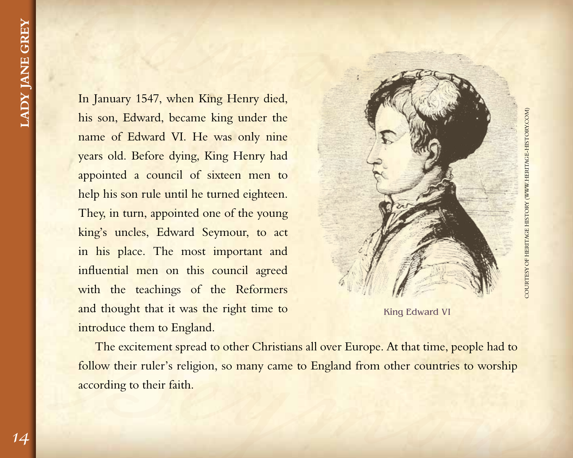In January 1547, when King Henry died, his son, Edward, became king under the name of Edward VI. He was only nine years old. Before dying, King Henry had appointed a council of sixteen men to help his son rule until he turned eighteen. They, in turn, appointed one of the young king's uncles, Edward Seymour, to act in his place. The most important and influential men on this council agreed with the teachings of the Reformers and thought that it was the right time to introduce them to England.





and thought that it was the right time to<br>introduce them to England.<br>The excitement spread to other Christians all over Europe. At that time, people had to<br>follow their ruler's religion, so many came to England from other The excitement spread to other Christians all over Europe. At that time, people had to follow their ruler's religion, so many came to England from other countries to worship according to their faith.

*14*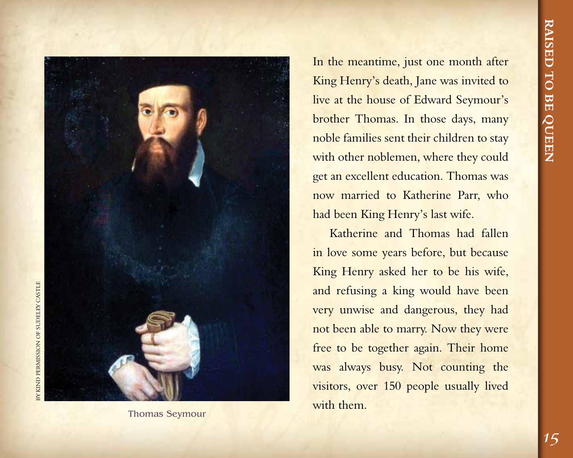

Thomas Seymour

In the meantime, just one month after King Henry's death, Jane was invited to live at the house of Edward Seymour's brother Thomas. In those days, many noble families sent their children to stay with other noblemen, where they could get an excellent education. Thomas was now married to Katherine Parr, who had been King Henry's last wife.

Katherine and Thomas had fallen in love some years before, but because King Henry asked her to be his wife, and refusing a king would have been very unwise and dangerous, they had not been able to marry. Now they were free to be together again. Their home was always busy. Not counting the visitors, over 150 people usually lived with them.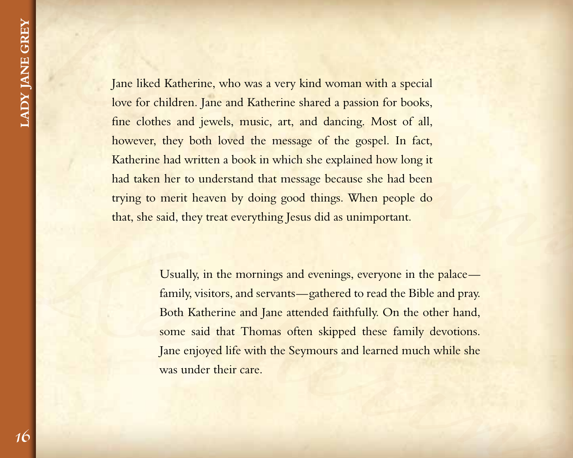France Islam liked Katherine, who was a very kind woman with a special<br>love for children. Jane and Katherine shared a passion for books,<br>fine clothes and jewels, music, art, and dancing. Most of all,<br>however, they both lov Jane liked Katherine, who was a very kind woman with a special love for children. Jane and Katherine shared a passion for books, fine clothes and jewels, music, art, and dancing. Most of all, however, they both loved the message of the gospel. In fact, Katherine had written a book in which she explained how long it had taken her to understand that message because she had been trying to merit heaven by doing good things. When people do that, she said, they treat everything Jesus did as unimportant.

that, she said, they treat everything Jesus did as unimportant.<br>
Usually, in the mornings and evenings, everyone in the palace—<br>
family, visitors, and scrvants—gathered to read the Bible and pray.<br>
Both Katherine and Jane Usually, in the mornings and evenings, everyone in the palace family, visitors, and servants—gathered to read the Bible and pray. Both Katherine and Jane attended faithfully. On the other hand, some said that Thomas often skipped these family devotions. Jane enjoyed life with the Seymours and learned much while she was under their care.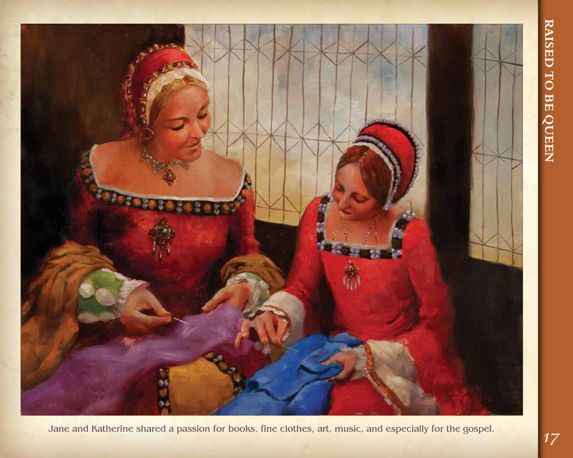

Jane and Katherine shared a passion for books, fine clothes, art, music, and especially for the gospel.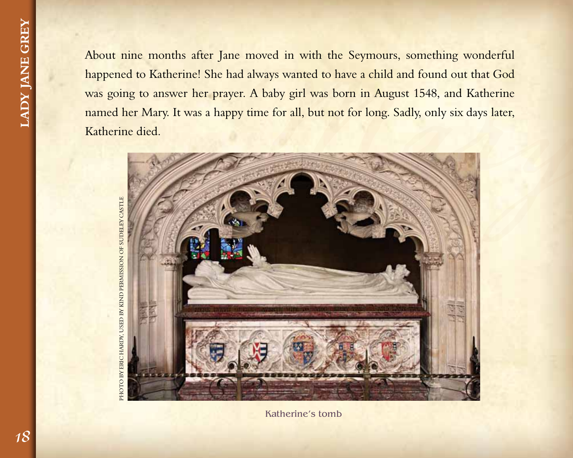About nine months after Jane moved in with the Seymours, something wonderful happened to Katherine! She had always wanted to have a child and found out that God was going to answer her prayer. A baby girl was born in August 1548, and Katherine named her Mary. It was a happy time for all, but not for long. Sadly, only six days later, Katherine died.



Katherine's tomb

PHOTO BY ERIC HARDY, USED BY KIND PERMISSION OF SUDELEY CASTLE by Eric Hardy, used by kind permission of Sudeley Castlephoto